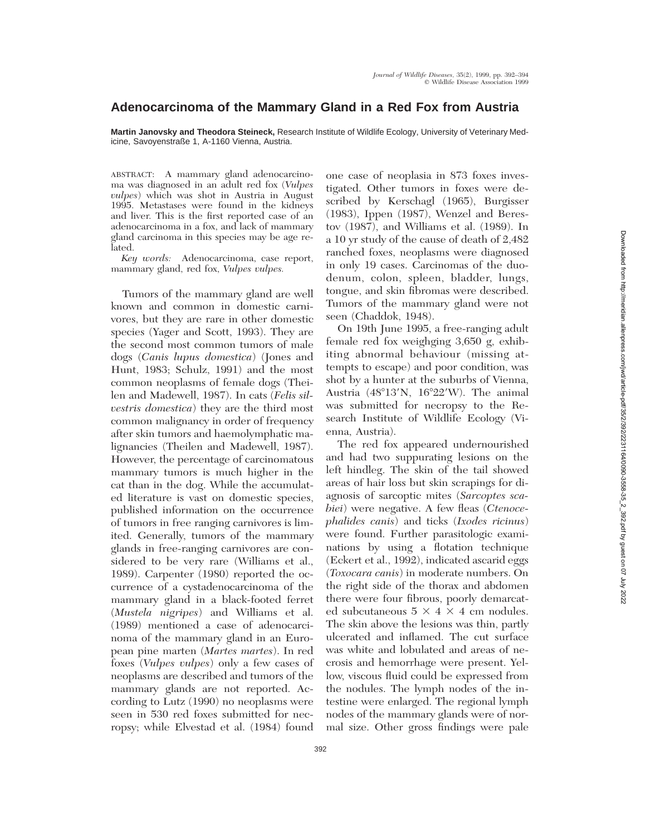## **Adenocarcinoma of the Mammary Gland in a Red Fox from Austria**

**Martin Janovsky and Theodora Steineck,** Research Institute of Wildlife Ecology, University of Veterinary Medicine, Savoyenstraße 1, A-1160 Vienna, Austria.

ABSTRACT: A mammary gland adenocarcinoma was diagnosed in an adult red fox (*Vulpes vulpes*) which was shot in Austria in August 1995. Metastases were found in the kidneys and liver. This is the first reported case of an adenocarcinoma in a fox, and lack of mammary gland carcinoma in this species may be age related.

*Key words:* Adenocarcinoma, case report, mammary gland, red fox, *Vulpes vulpes.*

Tumors of the mammary gland are well known and common in domestic carnivores, but they are rare in other domestic species (Yager and Scott, 1993). They are the second most common tumors of male dogs (*Canis lupus domestica*) (Jones and Hunt, 1983; Schulz, 1991) and the most common neoplasms of female dogs (Theilen and Madewell, 1987). In cats (*Felis silvestris domestica*) they are the third most common malignancy in order of frequency after skin tumors and haemolymphatic malignancies (Theilen and Madewell, 1987). However, the percentage of carcinomatous mammary tumors is much higher in the cat than in the dog. While the accumulated literature is vast on domestic species, published information on the occurrence of tumors in free ranging carnivores is limited. Generally, tumors of the mammary glands in free-ranging carnivores are considered to be very rare (Williams et al., 1989). Carpenter (1980) reported the occurrence of a cystadenocarcinoma of the mammary gland in a black-footed ferret (*Mustela nigripes*) and Williams et al. (1989) mentioned a case of adenocarcinoma of the mammary gland in an European pine marten (*Martes martes*). In red foxes (*Vulpes vulpes*) only a few cases of neoplasms are described and tumors of the mammary glands are not reported. According to Lutz (1990) no neoplasms were seen in 530 red foxes submitted for necropsy; while Elvestad et al. (1984) found

one case of neoplasia in 873 foxes investigated. Other tumors in foxes were described by Kerschagl (1965), Burgisser (1983), Ippen (1987), Wenzel and Berestov (1987), and Williams et al. (1989). In a 10 yr study of the cause of death of 2,482 ranched foxes, neoplasms were diagnosed in only 19 cases. Carcinomas of the duodenum, colon, spleen, bladder, lungs, tongue, and skin fibromas were described. Tumors of the mammary gland were not seen (Chaddok, 1948).

On 19th June 1995, a free-ranging adult female red fox weighging 3,650 g, exhibiting abnormal behaviour (missing attempts to escape) and poor condition, was shot by a hunter at the suburbs of Vienna, Austria  $(48^{\circ}13'N, 16^{\circ}22'W)$ . The animal was submitted for necropsy to the Research Institute of Wildlife Ecology (Vienna, Austria).

The red fox appeared undernourished and had two suppurating lesions on the left hindleg. The skin of the tail showed areas of hair loss but skin scrapings for diagnosis of sarcoptic mites (*Sarcoptes scabiei*) were negative. A few fleas (*Ctenocephalides canis*) and ticks (*Ixodes ricinus*) were found. Further parasitologic examinations by using a flotation technique (Eckert et al., 1992), indicated ascarid eggs (*Toxocara canis*) in moderate numbers. On the right side of the thorax and abdomen there were four fibrous, poorly demarcated subcutaneous  $5 \times 4 \times 4$  cm nodules. The skin above the lesions was thin, partly ulcerated and inflamed. The cut surface was white and lobulated and areas of necrosis and hemorrhage were present. Yellow, viscous fluid could be expressed from the nodules. The lymph nodes of the intestine were enlarged. The regional lymph nodes of the mammary glands were of normal size. Other gross findings were pale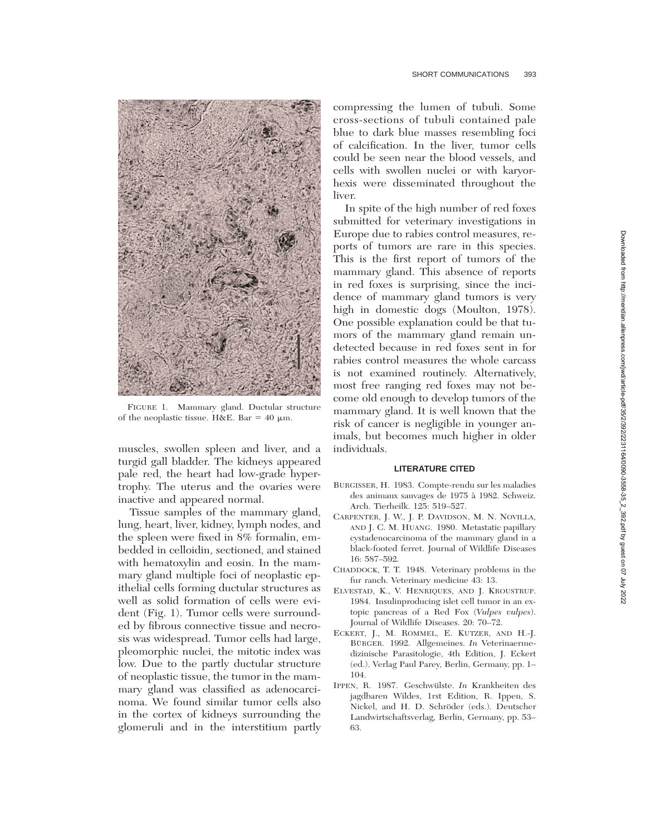

FIGURE 1. Mammary gland. Ductular structure of the neoplastic tissue. H&E. Bar = 40  $\mu$ m.

muscles, swollen spleen and liver, and a turgid gall bladder. The kidneys appeared pale red, the heart had low-grade hypertrophy. The uterus and the ovaries were inactive and appeared normal.

Tissue samples of the mammary gland, lung, heart, liver, kidney, lymph nodes, and the spleen were fixed in 8% formalin, embedded in celloidin, sectioned, and stained with hematoxylin and eosin. In the mammary gland multiple foci of neoplastic epithelial cells forming ductular structures as well as solid formation of cells were evident (Fig. 1). Tumor cells were surrounded by fibrous connective tissue and necrosis was widespread. Tumor cells had large, pleomorphic nuclei, the mitotic index was low. Due to the partly ductular structure of neoplastic tissue, the tumor in the mammary gland was classified as adenocarcinoma. We found similar tumor cells also in the cortex of kidneys surrounding the glomeruli and in the interstitium partly compressing the lumen of tubuli. Some cross-sections of tubuli contained pale blue to dark blue masses resembling foci of calcification. In the liver, tumor cells could be seen near the blood vessels, and cells with swollen nuclei or with karyorhexis were disseminated throughout the liver.

In spite of the high number of red foxes submitted for veterinary investigations in Europe due to rabies control measures, reports of tumors are rare in this species. This is the first report of tumors of the mammary gland. This absence of reports in red foxes is surprising, since the incidence of mammary gland tumors is very high in domestic dogs (Moulton, 1978). One possible explanation could be that tumors of the mammary gland remain undetected because in red foxes sent in for rabies control measures the whole carcass is not examined routinely. Alternatively, most free ranging red foxes may not become old enough to develop tumors of the mammary gland. It is well known that the risk of cancer is negligible in younger animals, but becomes much higher in older individuals.

## **LITERATURE CITED**

- BURGISSER, H. 1983. Compte-rendu sur les maladies des animaux sauvages de 1975 a` 1982. Schweiz. Arch. Tierheilk. 125: 519–527.
- CARPENTER, J. W., J. P. DAVIDSON, M. N. NOVILLA, AND J. C. M. HUANG. 1980. Metastatic papillary cystadenocarcinoma of the mammary gland in a black-footed ferret. Journal of Wildlife Diseases 16: 587–592.
- CHADDOCK, T. T. 1948. Veterinary problems in the fur ranch. Veterinary medicine 43: 13.
- ELVESTAD, K., V. HENRIQUES, AND J. KROUSTRUP. 1984. Insulinproducing islet cell tumor in an extopic pancreas of a Red Fox (*Vulpes vulpes*). Journal of Wildlife Diseases. 20: 70–72.
- ECKERT, J., M. ROMMEL, E. KUTZER, AND H.-J. BÜRGER. 1992. Allgemeines. *In* Veterinaermedizinische Parasitologie, 4th Edition, J. Eckert (ed.). Verlag Paul Parey, Berlin, Germany, pp. 1– 104.
- IPPEN, R. 1987. Geschwülste. *In* Krankheiten des jagdbaren Wildes, 1rst Edition, R. Ippen, S. Nickel, and H. D. Schröder (eds.). Deutscher Landwirtschaftsverlag, Berlin, Germany, pp. 53– 63.